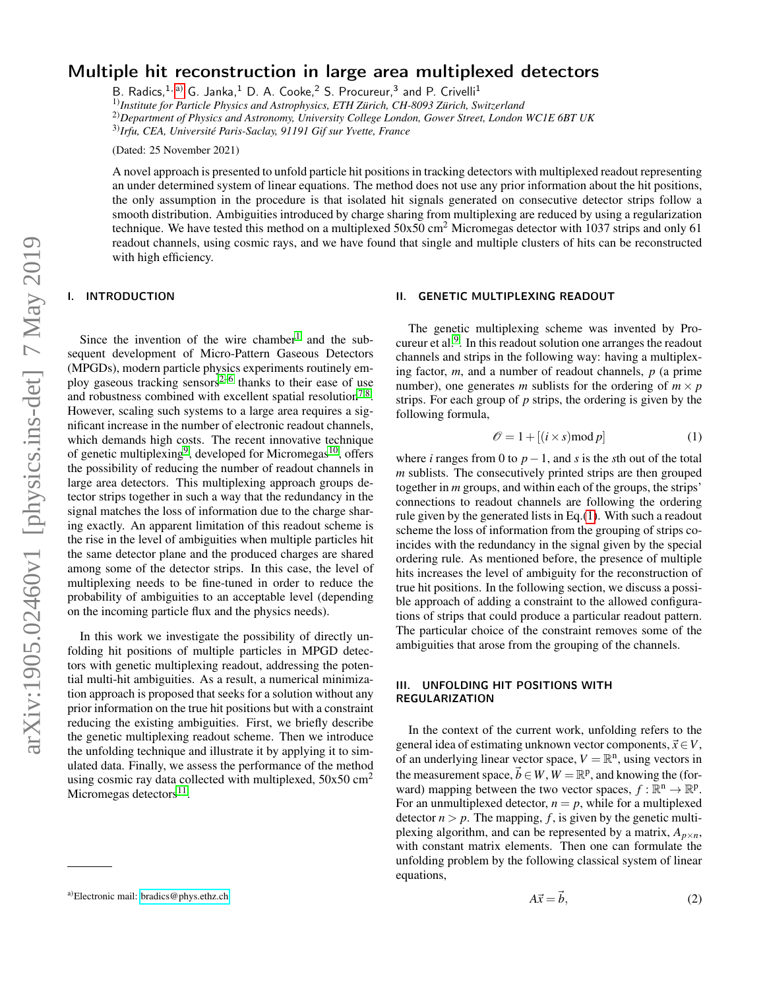# Multiple hit reconstruction in large area multiplexed detectors

B. Radics,  $1, a)$  $1, a)$  G. Janka,  $1$  D. A. Cooke,  $2$  S. Procureur,  $3$  and P. Crivelli $1$ 1)*Institute for Particle Physics and Astrophysics, ETH Zürich, CH-8093 Zürich, Switzerland* 2)*Department of Physics and Astronomy, University College London, Gower Street, London WC1E 6BT UK* 3)*Irfu, CEA, Université Paris-Saclay, 91191 Gif sur Yvette, France*

(Dated: 25 November 2021)

A novel approach is presented to unfold particle hit positions in tracking detectors with multiplexed readout representing an under determined system of linear equations. The method does not use any prior information about the hit positions, the only assumption in the procedure is that isolated hit signals generated on consecutive detector strips follow a smooth distribution. Ambiguities introduced by charge sharing from multiplexing are reduced by using a regularization technique. We have tested this method on a multiplexed  $50x50 \text{ cm}^2$  Micromegas detector with 1037 strips and only 61 readout channels, using cosmic rays, and we have found that single and multiple clusters of hits can be reconstructed with high efficiency.

### I. INTRODUCTION

Since the invention of the wire chamber<sup>[1](#page-6-0)</sup> and the subsequent development of Micro-Pattern Gaseous Detectors (MPGDs), modern particle physics experiments routinely em-ploy gaseous tracking sensors<sup>[2](#page-6-1)-6</sup> thanks to their ease of use and robustness combined with excellent spatial resolution<sup>[7](#page-6-3)[,8](#page-6-4)</sup>. However, scaling such systems to a large area requires a significant increase in the number of electronic readout channels, which demands high costs. The recent innovative technique of genetic multiplexing<sup>[9](#page-6-5)</sup>, developed for Micromegas<sup>[10](#page-6-6)</sup>, offers the possibility of reducing the number of readout channels in large area detectors. This multiplexing approach groups detector strips together in such a way that the redundancy in the signal matches the loss of information due to the charge sharing exactly. An apparent limitation of this readout scheme is the rise in the level of ambiguities when multiple particles hit the same detector plane and the produced charges are shared among some of the detector strips. In this case, the level of multiplexing needs to be fine-tuned in order to reduce the probability of ambiguities to an acceptable level (depending on the incoming particle flux and the physics needs).

In this work we investigate the possibility of directly unfolding hit positions of multiple particles in MPGD detectors with genetic multiplexing readout, addressing the potential multi-hit ambiguities. As a result, a numerical minimization approach is proposed that seeks for a solution without any prior information on the true hit positions but with a constraint reducing the existing ambiguities. First, we briefly describe the genetic multiplexing readout scheme. Then we introduce the unfolding technique and illustrate it by applying it to simulated data. Finally, we assess the performance of the method using cosmic ray data collected with multiplexed,  $50x50$  cm<sup>2</sup> Micromegas detectors<sup>[11](#page-6-7)</sup>.

### II. GENETIC MULTIPLEXING READOUT

The genetic multiplexing scheme was invented by Procureur et al. $<sup>9</sup>$  $<sup>9</sup>$  $<sup>9</sup>$ . In this readout solution one arranges the readout</sup> channels and strips in the following way: having a multiplexing factor, *m*, and a number of readout channels, *p* (a prime number), one generates *m* sublists for the ordering of  $m \times p$ strips. For each group of *p* strips, the ordering is given by the following formula,

<span id="page-0-1"></span>
$$
\mathcal{O} = 1 + [(i \times s) \mod p] \tag{1}
$$

where *i* ranges from 0 to  $p-1$ , and *s* is the *s*th out of the total *m* sublists. The consecutively printed strips are then grouped together in *m* groups, and within each of the groups, the strips' connections to readout channels are following the ordering rule given by the generated lists in Eq.[\(1\)](#page-0-1). With such a readout scheme the loss of information from the grouping of strips coincides with the redundancy in the signal given by the special ordering rule. As mentioned before, the presence of multiple hits increases the level of ambiguity for the reconstruction of true hit positions. In the following section, we discuss a possible approach of adding a constraint to the allowed configurations of strips that could produce a particular readout pattern. The particular choice of the constraint removes some of the ambiguities that arose from the grouping of the channels.

# III. UNFOLDING HIT POSITIONS WITH REGULARIZATION

In the context of the current work, unfolding refers to the general idea of estimating unknown vector components,  $\vec{x} \in V$ , of an underlying linear vector space,  $V = \mathbb{R}^n$ , using vectors in the measurement space,  $\vec{b} \in W$ ,  $W = \mathbb{R}^p$ , and knowing the (forward) mapping between the two vector spaces,  $f : \mathbb{R}^n \to \mathbb{R}^p$ . For an unmultiplexed detector,  $n = p$ , while for a multiplexed detector  $n > p$ . The mapping,  $f$ , is given by the genetic multiplexing algorithm, and can be represented by a matrix,  $A_{p\times n}$ , with constant matrix elements. Then one can formulate the unfolding problem by the following classical system of linear equations,

$$
A\vec{x} = \vec{b},\tag{2}
$$

<span id="page-0-0"></span>a)Electronic mail: [bradics@phys.ethz.ch](mailto:bradics@phys.ethz.ch)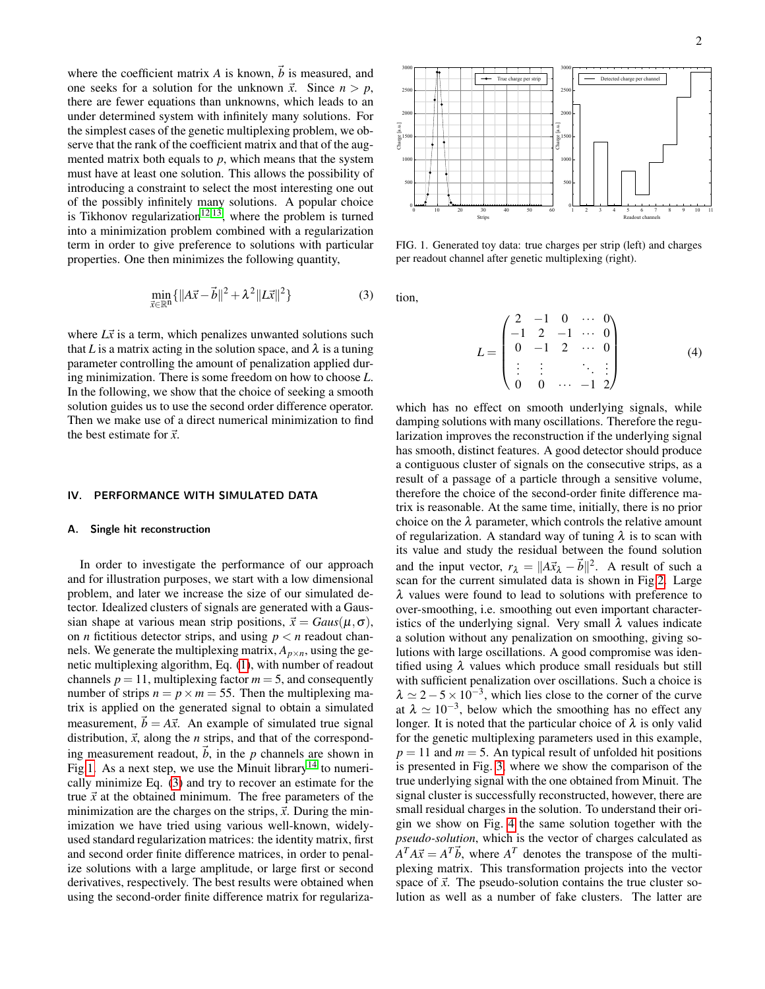where the coefficient matrix *A* is known,  $\vec{b}$  is measured, and one seeks for a solution for the unknown  $\vec{x}$ . Since  $n > p$ , there are fewer equations than unknowns, which leads to an under determined system with infinitely many solutions. For the simplest cases of the genetic multiplexing problem, we observe that the rank of the coefficient matrix and that of the augmented matrix both equals to  $p$ , which means that the system must have at least one solution. This allows the possibility of introducing a constraint to select the most interesting one out of the possibly infinitely many solutions. A popular choice is Tikhonov regularization<sup>[12](#page-6-8)[,13](#page-6-9)</sup>, where the problem is turned into a minimization problem combined with a regularization term in order to give preference to solutions with particular properties. One then minimizes the following quantity,

<span id="page-1-1"></span>
$$
\min_{\vec{x} \in \mathbb{R}^n} \{ \|A\vec{x} - \vec{b}\|^2 + \lambda^2 \|L\vec{x}\|^2 \}
$$
 (3)

where  $L\vec{x}$  is a term, which penalizes unwanted solutions such that *L* is a matrix acting in the solution space, and  $\lambda$  is a tuning parameter controlling the amount of penalization applied during minimization. There is some freedom on how to choose *L*. In the following, we show that the choice of seeking a smooth solution guides us to use the second order difference operator. Then we make use of a direct numerical minimization to find the best estimate for  $\vec{x}$ .

### IV. PERFORMANCE WITH SIMULATED DATA

#### A. Single hit reconstruction

In order to investigate the performance of our approach and for illustration purposes, we start with a low dimensional problem, and later we increase the size of our simulated detector. Idealized clusters of signals are generated with a Gaussian shape at various mean strip positions,  $\vec{x} = Gaus(\mu, \sigma)$ , on *n* fictitious detector strips, and using  $p < n$  readout channels. We generate the multiplexing matrix,  $A_{p \times n}$ , using the genetic multiplexing algorithm, Eq. [\(1\)](#page-0-1), with number of readout channels  $p = 11$ , multiplexing factor  $m = 5$ , and consequently number of strips  $n = p \times m = 55$ . Then the multiplexing matrix is applied on the generated signal to obtain a simulated measurement,  $\vec{b} = A\vec{x}$ . An example of simulated true signal distribution,  $\vec{x}$ , along the *n* strips, and that of the corresponding measurement readout,  $\vec{b}$ , in the *p* channels are shown in Fig[.1.](#page-1-0) As a next step, we use the Minuit library<sup>[14](#page-6-10)</sup> to numerically minimize Eq. [\(3\)](#page-1-1) and try to recover an estimate for the true  $\vec{x}$  at the obtained minimum. The free parameters of the minimization are the charges on the strips,  $\vec{x}$ . During the minimization we have tried using various well-known, widelyused standard regularization matrices: the identity matrix, first and second order finite difference matrices, in order to penalize solutions with a large amplitude, or large first or second derivatives, respectively. The best results were obtained when using the second-order finite difference matrix for regulariza-



<span id="page-1-0"></span>FIG. 1. Generated toy data: true charges per strip (left) and charges per readout channel after genetic multiplexing (right).

tion,

$$
L = \begin{pmatrix} 2 & -1 & 0 & \cdots & 0 \\ -1 & 2 & -1 & \cdots & 0 \\ 0 & -1 & 2 & \cdots & 0 \\ \vdots & \vdots & & \ddots & \vdots \\ 0 & 0 & \cdots & -1 & 2 \end{pmatrix}
$$
 (4)

which has no effect on smooth underlying signals, while damping solutions with many oscillations. Therefore the regularization improves the reconstruction if the underlying signal has smooth, distinct features. A good detector should produce a contiguous cluster of signals on the consecutive strips, as a result of a passage of a particle through a sensitive volume, therefore the choice of the second-order finite difference matrix is reasonable. At the same time, initially, there is no prior choice on the  $\lambda$  parameter, which controls the relative amount of regularization. A standard way of tuning  $\lambda$  is to scan with its value and study the residual between the found solution and the input vector,  $r_{\lambda} = ||A\vec{x}_{\lambda} - \vec{b}||^2$ . A result of such a scan for the current simulated data is shown in Fig[.2.](#page-2-0) Large  $\lambda$  values were found to lead to solutions with preference to over-smoothing, i.e. smoothing out even important characteristics of the underlying signal. Very small  $\lambda$  values indicate a solution without any penalization on smoothing, giving solutions with large oscillations. A good compromise was identified using  $\lambda$  values which produce small residuals but still with sufficient penalization over oscillations. Such a choice is  $\lambda \simeq 2-5 \times 10^{-3}$ , which lies close to the corner of the curve at  $\lambda \simeq 10^{-3}$ , below which the smoothing has no effect any longer. It is noted that the particular choice of  $\lambda$  is only valid for the genetic multiplexing parameters used in this example,  $p = 11$  and  $m = 5$ . An typical result of unfolded hit positions is presented in Fig. [3,](#page-2-1) where we show the comparison of the true underlying signal with the one obtained from Minuit. The signal cluster is successfully reconstructed, however, there are small residual charges in the solution. To understand their origin we show on Fig. [4](#page-2-2) the same solution together with the *pseudo-solution*, which is the vector of charges calculated as  $A^T A \vec{x} = A^T \vec{b}$ , where  $A^T$  denotes the transpose of the multiplexing matrix. This transformation projects into the vector space of  $\vec{x}$ . The pseudo-solution contains the true cluster solution as well as a number of fake clusters. The latter are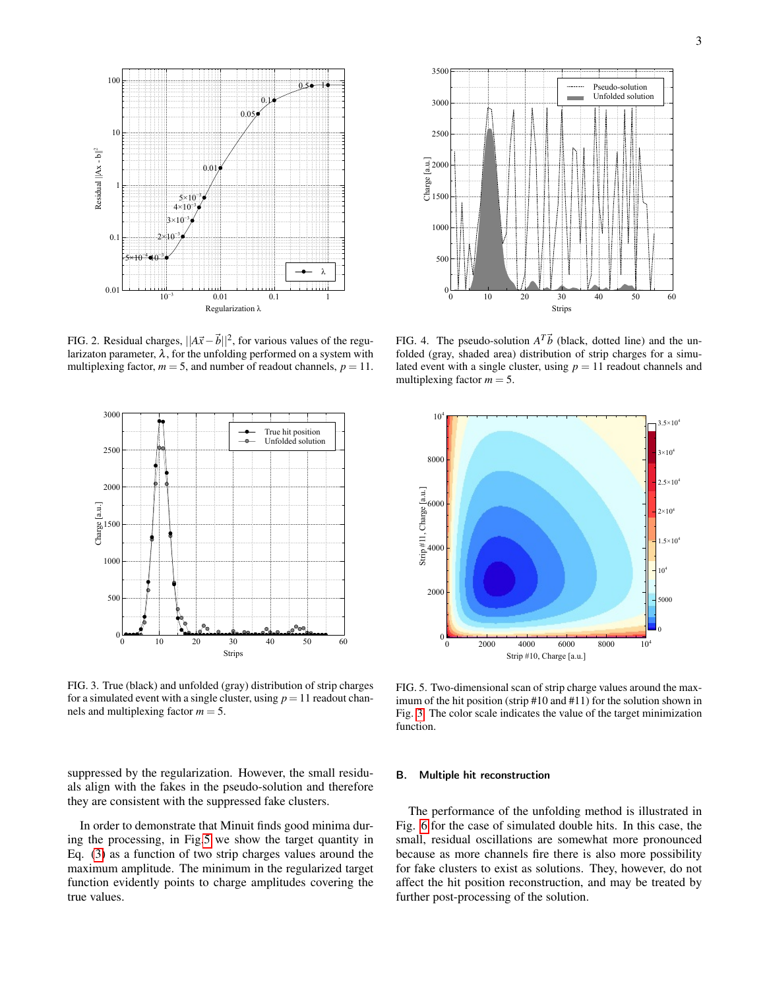

<span id="page-2-0"></span>FIG. 2. Residual charges,  $||A\vec{x} - \vec{b}||^2$ , for various values of the regularizaton parameter,  $\lambda$ , for the unfolding performed on a system with multiplexing factor,  $m = 5$ , and number of readout channels,  $p = 11$ .



<span id="page-2-1"></span>FIG. 3. True (black) and unfolded (gray) distribution of strip charges for a simulated event with a single cluster, using  $p = 11$  readout channels and multiplexing factor  $m = 5$ .

suppressed by the regularization. However, the small residuals align with the fakes in the pseudo-solution and therefore they are consistent with the suppressed fake clusters.

In order to demonstrate that Minuit finds good minima during the processing, in Fig[.5](#page-2-3) we show the target quantity in Eq. [\(3\)](#page-1-1) as a function of two strip charges values around the maximum amplitude. The minimum in the regularized target function evidently points to charge amplitudes covering the true values.



<span id="page-2-2"></span>FIG. 4. The pseudo-solution  $A^T\vec{b}$  (black, dotted line) and the unfolded (gray, shaded area) distribution of strip charges for a simulated event with a single cluster, using  $p = 11$  readout channels and multiplexing factor  $m = 5$ .



<span id="page-2-3"></span>FIG. 5. Two-dimensional scan of strip charge values around the maximum of the hit position (strip #10 and #11) for the solution shown in Fig. [3.](#page-2-1) The color scale indicates the value of the target minimization function.

### B. Multiple hit reconstruction

The performance of the unfolding method is illustrated in Fig. [6](#page-3-0) for the case of simulated double hits. In this case, the small, residual oscillations are somewhat more pronounced because as more channels fire there is also more possibility for fake clusters to exist as solutions. They, however, do not affect the hit position reconstruction, and may be treated by further post-processing of the solution.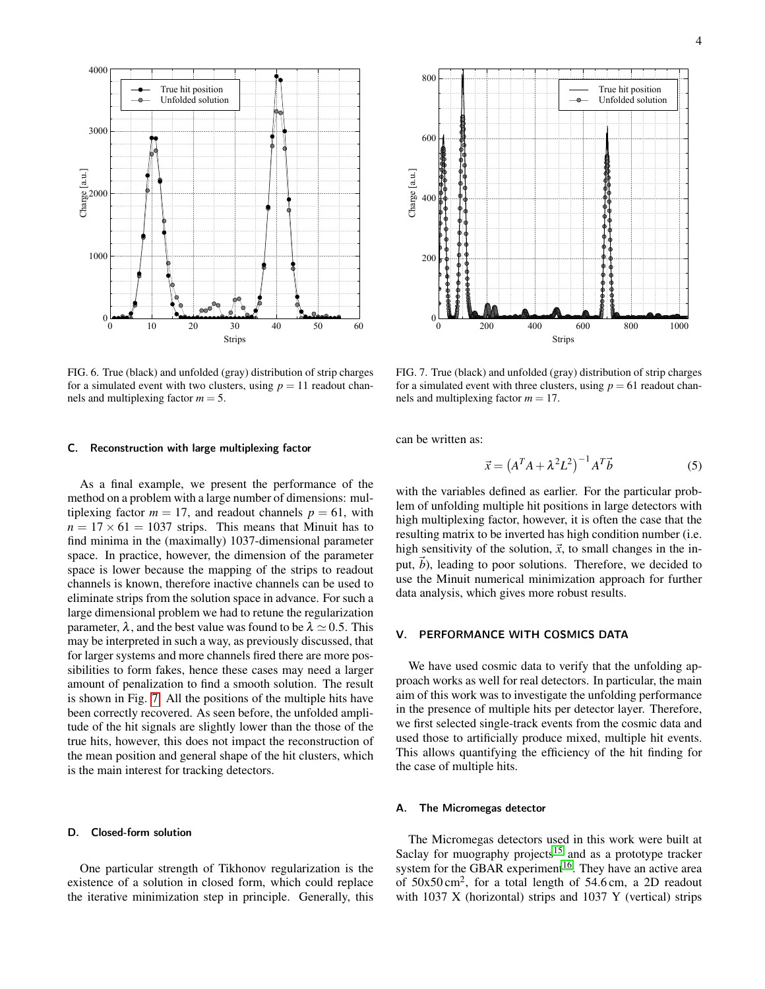

<span id="page-3-0"></span>FIG. 6. True (black) and unfolded (gray) distribution of strip charges for a simulated event with two clusters, using  $p = 11$  readout channels and multiplexing factor  $m = 5$ .

#### C. Reconstruction with large multiplexing factor

As a final example, we present the performance of the method on a problem with a large number of dimensions: multiplexing factor  $m = 17$ , and readout channels  $p = 61$ , with  $n = 17 \times 61 = 1037$  strips. This means that Minuit has to find minima in the (maximally) 1037-dimensional parameter space. In practice, however, the dimension of the parameter space is lower because the mapping of the strips to readout channels is known, therefore inactive channels can be used to eliminate strips from the solution space in advance. For such a large dimensional problem we had to retune the regularization parameter,  $\lambda$ , and the best value was found to be  $\lambda \simeq 0.5$ . This may be interpreted in such a way, as previously discussed, that for larger systems and more channels fired there are more possibilities to form fakes, hence these cases may need a larger amount of penalization to find a smooth solution. The result is shown in Fig. [7.](#page-3-1) All the positions of the multiple hits have been correctly recovered. As seen before, the unfolded amplitude of the hit signals are slightly lower than the those of the true hits, however, this does not impact the reconstruction of the mean position and general shape of the hit clusters, which is the main interest for tracking detectors.

#### D. Closed-form solution

One particular strength of Tikhonov regularization is the existence of a solution in closed form, which could replace the iterative minimization step in principle. Generally, this



<span id="page-3-1"></span>FIG. 7. True (black) and unfolded (gray) distribution of strip charges for a simulated event with three clusters, using  $p = 61$  readout channels and multiplexing factor  $m = 17$ .

can be written as:

$$
\vec{x} = \left(A^T A + \lambda^2 L^2\right)^{-1} A^T \vec{b} \tag{5}
$$

with the variables defined as earlier. For the particular problem of unfolding multiple hit positions in large detectors with high multiplexing factor, however, it is often the case that the resulting matrix to be inverted has high condition number (i.e. high sensitivity of the solution,  $\vec{x}$ , to small changes in the input,  $\vec{b}$ ), leading to poor solutions. Therefore, we decided to use the Minuit numerical minimization approach for further data analysis, which gives more robust results.

## V. PERFORMANCE WITH COSMICS DATA

We have used cosmic data to verify that the unfolding approach works as well for real detectors. In particular, the main aim of this work was to investigate the unfolding performance in the presence of multiple hits per detector layer. Therefore, we first selected single-track events from the cosmic data and used those to artificially produce mixed, multiple hit events. This allows quantifying the efficiency of the hit finding for the case of multiple hits.

### A. The Micromegas detector

The Micromegas detectors used in this work were built at Saclay for muography projects<sup>[15](#page-6-11)</sup> and as a prototype tracker system for the GBAR experiment<sup>[16](#page-6-12)</sup>. They have an active area of  $50x50 \text{ cm}^2$ , for a total length of  $54.6 \text{ cm}$ , a 2D readout with 1037 X (horizontal) strips and 1037 Y (vertical) strips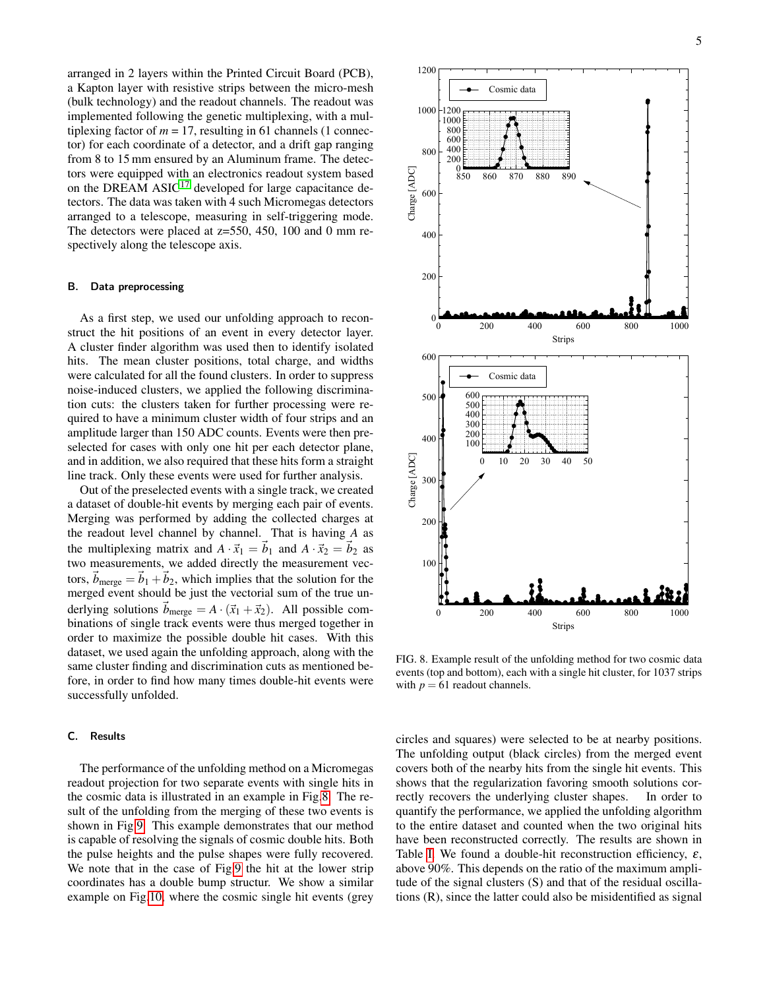arranged in 2 layers within the Printed Circuit Board (PCB), a Kapton layer with resistive strips between the micro-mesh (bulk technology) and the readout channels. The readout was implemented following the genetic multiplexing, with a multiplexing factor of  $m = 17$ , resulting in 61 channels (1 connector) for each coordinate of a detector, and a drift gap ranging from 8 to 15 mm ensured by an Aluminum frame. The detectors were equipped with an electronics readout system based on the DREAM  $ASIC<sup>17</sup>$  $ASIC<sup>17</sup>$  $ASIC<sup>17</sup>$  developed for large capacitance detectors. The data was taken with 4 such Micromegas detectors arranged to a telescope, measuring in self-triggering mode. The detectors were placed at z=550, 450, 100 and 0 mm respectively along the telescope axis.

## B. Data preprocessing

As a first step, we used our unfolding approach to reconstruct the hit positions of an event in every detector layer. A cluster finder algorithm was used then to identify isolated hits. The mean cluster positions, total charge, and widths were calculated for all the found clusters. In order to suppress noise-induced clusters, we applied the following discrimination cuts: the clusters taken for further processing were required to have a minimum cluster width of four strips and an amplitude larger than 150 ADC counts. Events were then preselected for cases with only one hit per each detector plane, and in addition, we also required that these hits form a straight line track. Only these events were used for further analysis.

Out of the preselected events with a single track, we created a dataset of double-hit events by merging each pair of events. Merging was performed by adding the collected charges at the readout level channel by channel. That is having *A* as the multiplexing matrix and  $A \cdot \vec{x}_1 = \vec{b}_1$  and  $A \cdot \vec{x}_2 = \vec{b}_2$  as two measurements, we added directly the measurement vectors,  $\vec{b}_{\text{merge}} = \vec{b}_1 + \vec{b}_2$ , which implies that the solution for the merged event should be just the vectorial sum of the true underlying solutions  $b_{\text{merge}} = A \cdot (\vec{x}_1 + \vec{x}_2)$ . All possible combinations of single track events were thus merged together in order to maximize the possible double hit cases. With this dataset, we used again the unfolding approach, along with the same cluster finding and discrimination cuts as mentioned before, in order to find how many times double-hit events were successfully unfolded.

# C. Results

The performance of the unfolding method on a Micromegas readout projection for two separate events with single hits in the cosmic data is illustrated in an example in Fig[.8.](#page-4-0) The result of the unfolding from the merging of these two events is shown in Fig[.9.](#page-5-0) This example demonstrates that our method is capable of resolving the signals of cosmic double hits. Both the pulse heights and the pulse shapes were fully recovered. We note that in the case of Fig[.9](#page-5-0) the hit at the lower strip coordinates has a double bump structur. We show a similar example on Fig[.10,](#page-5-1) where the cosmic single hit events (grey



<span id="page-4-0"></span>FIG. 8. Example result of the unfolding method for two cosmic data events (top and bottom), each with a single hit cluster, for 1037 strips with  $p = 61$  readout channels.

circles and squares) were selected to be at nearby positions. The unfolding output (black circles) from the merged event covers both of the nearby hits from the single hit events. This shows that the regularization favoring smooth solutions correctly recovers the underlying cluster shapes. In order to quantify the performance, we applied the unfolding algorithm to the entire dataset and counted when the two original hits have been reconstructed correctly. The results are shown in Table [I.](#page-5-2) We found a double-hit reconstruction efficiency,  $\varepsilon$ , above 90%. This depends on the ratio of the maximum amplitude of the signal clusters (S) and that of the residual oscillations (R), since the latter could also be misidentified as signal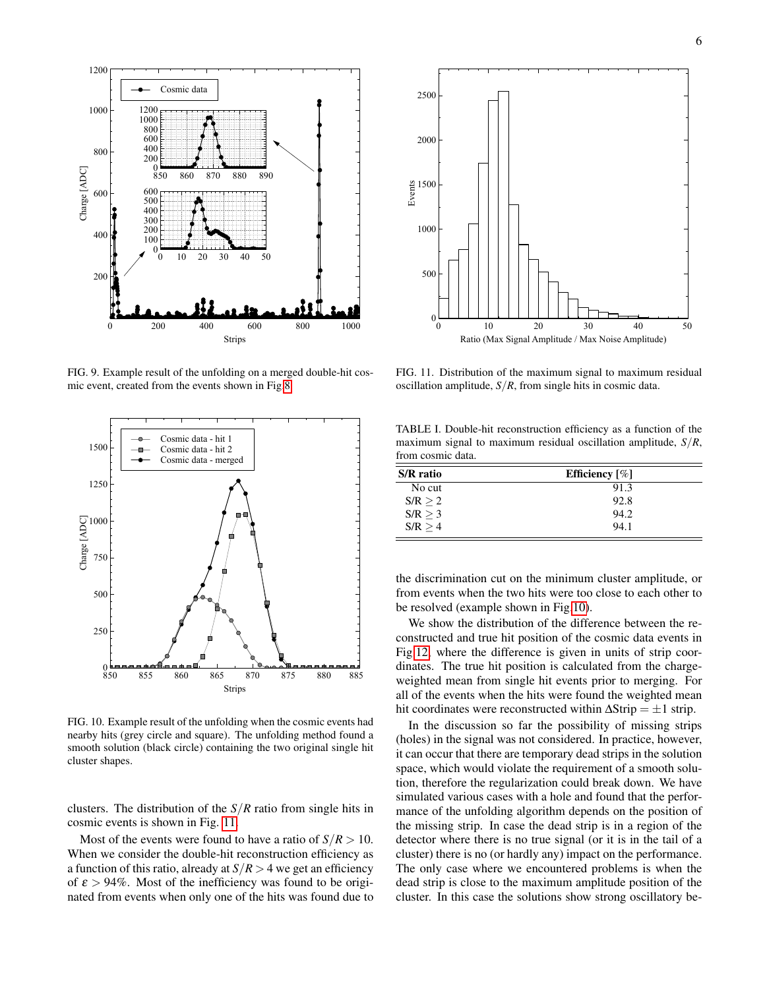

<span id="page-5-0"></span>FIG. 9. Example result of the unfolding on a merged double-hit cosmic event, created from the events shown in Fig[.8.](#page-4-0)



<span id="page-5-1"></span>FIG. 10. Example result of the unfolding when the cosmic events had nearby hits (grey circle and square). The unfolding method found a smooth solution (black circle) containing the two original single hit cluster shapes.

clusters. The distribution of the *S*/*R* ratio from single hits in cosmic events is shown in Fig. [11.](#page-5-3)

Most of the events were found to have a ratio of  $S/R > 10$ . When we consider the double-hit reconstruction efficiency as a function of this ratio, already at *S*/*R* > 4 we get an efficiency of  $\epsilon > 94\%$ . Most of the inefficiency was found to be originated from events when only one of the hits was found due to



<span id="page-5-3"></span>FIG. 11. Distribution of the maximum signal to maximum residual oscillation amplitude, *S*/*R*, from single hits in cosmic data.

<span id="page-5-2"></span>TABLE I. Double-hit reconstruction efficiency as a function of the maximum signal to maximum residual oscillation amplitude, *S*/*R*, from cosmic data.

| S/R ratio | Efficiency $[\%]$ |
|-----------|-------------------|
| No cut    | 91.3              |
| S/R > 2   | 92.8              |
| S/R > 3   | 94.2              |
| S/R > 4   | 94.1              |

the discrimination cut on the minimum cluster amplitude, or from events when the two hits were too close to each other to be resolved (example shown in Fig[.10\)](#page-5-1).

We show the distribution of the difference between the reconstructed and true hit position of the cosmic data events in Fig[.12,](#page-6-14) where the difference is given in units of strip coordinates. The true hit position is calculated from the chargeweighted mean from single hit events prior to merging. For all of the events when the hits were found the weighted mean hit coordinates were reconstructed within  $\Delta$ Strip =  $\pm 1$  strip.

In the discussion so far the possibility of missing strips (holes) in the signal was not considered. In practice, however, it can occur that there are temporary dead strips in the solution space, which would violate the requirement of a smooth solution, therefore the regularization could break down. We have simulated various cases with a hole and found that the performance of the unfolding algorithm depends on the position of the missing strip. In case the dead strip is in a region of the detector where there is no true signal (or it is in the tail of a cluster) there is no (or hardly any) impact on the performance. The only case where we encountered problems is when the dead strip is close to the maximum amplitude position of the cluster. In this case the solutions show strong oscillatory be-